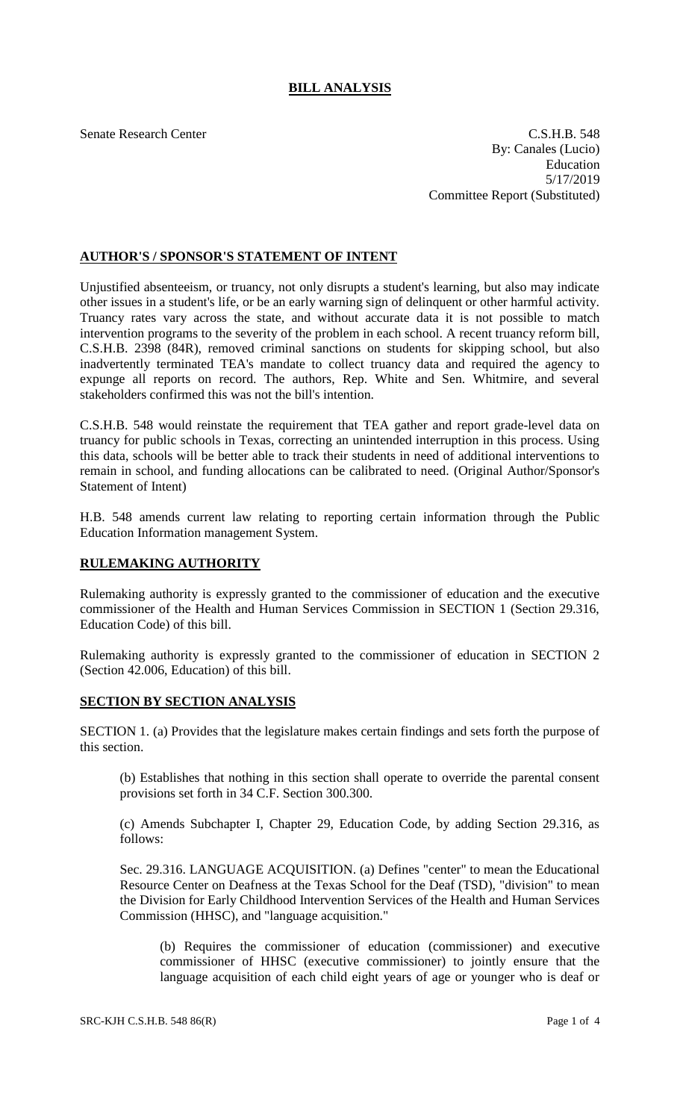## **BILL ANALYSIS**

Senate Research Center C.S.H.B. 548 By: Canales (Lucio) Education 5/17/2019 Committee Report (Substituted)

## **AUTHOR'S / SPONSOR'S STATEMENT OF INTENT**

Unjustified absenteeism, or truancy, not only disrupts a student's learning, but also may indicate other issues in a student's life, or be an early warning sign of delinquent or other harmful activity. Truancy rates vary across the state, and without accurate data it is not possible to match intervention programs to the severity of the problem in each school. A recent truancy reform bill, C.S.H.B. 2398 (84R), removed criminal sanctions on students for skipping school, but also inadvertently terminated TEA's mandate to collect truancy data and required the agency to expunge all reports on record. The authors, Rep. White and Sen. Whitmire, and several stakeholders confirmed this was not the bill's intention.

C.S.H.B. 548 would reinstate the requirement that TEA gather and report grade-level data on truancy for public schools in Texas, correcting an unintended interruption in this process. Using this data, schools will be better able to track their students in need of additional interventions to remain in school, and funding allocations can be calibrated to need. (Original Author/Sponsor's Statement of Intent)

H.B. 548 amends current law relating to reporting certain information through the Public Education Information management System.

## **RULEMAKING AUTHORITY**

Rulemaking authority is expressly granted to the commissioner of education and the executive commissioner of the Health and Human Services Commission in SECTION 1 (Section 29.316, Education Code) of this bill.

Rulemaking authority is expressly granted to the commissioner of education in SECTION 2 (Section 42.006, Education) of this bill.

## **SECTION BY SECTION ANALYSIS**

SECTION 1. (a) Provides that the legislature makes certain findings and sets forth the purpose of this section.

(b) Establishes that nothing in this section shall operate to override the parental consent provisions set forth in 34 C.F. Section 300.300.

(c) Amends Subchapter I, Chapter 29, Education Code, by adding Section 29.316, as follows:

Sec. 29.316. LANGUAGE ACQUISITION. (a) Defines "center" to mean the Educational Resource Center on Deafness at the Texas School for the Deaf (TSD), "division" to mean the Division for Early Childhood Intervention Services of the Health and Human Services Commission (HHSC), and "language acquisition."

(b) Requires the commissioner of education (commissioner) and executive commissioner of HHSC (executive commissioner) to jointly ensure that the language acquisition of each child eight years of age or younger who is deaf or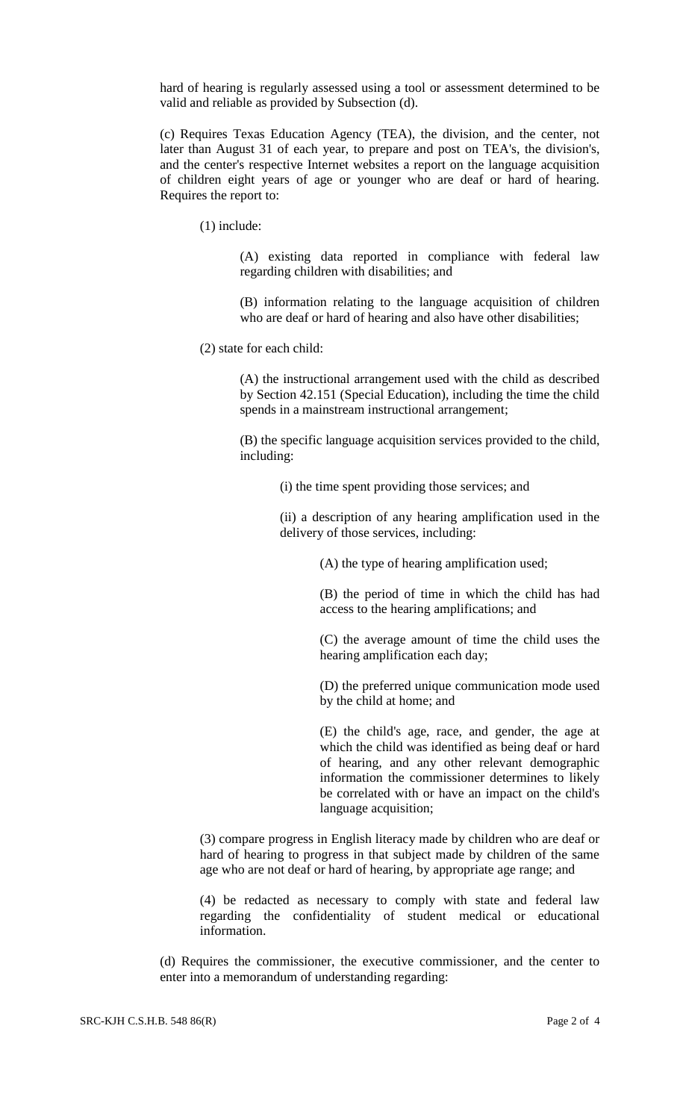hard of hearing is regularly assessed using a tool or assessment determined to be valid and reliable as provided by Subsection (d).

(c) Requires Texas Education Agency (TEA), the division, and the center, not later than August 31 of each year, to prepare and post on TEA's, the division's, and the center's respective Internet websites a report on the language acquisition of children eight years of age or younger who are deaf or hard of hearing. Requires the report to:

(1) include:

(A) existing data reported in compliance with federal law regarding children with disabilities; and

(B) information relating to the language acquisition of children who are deaf or hard of hearing and also have other disabilities;

(2) state for each child:

(A) the instructional arrangement used with the child as described by Section 42.151 (Special Education), including the time the child spends in a mainstream instructional arrangement;

(B) the specific language acquisition services provided to the child, including:

(i) the time spent providing those services; and

(ii) a description of any hearing amplification used in the delivery of those services, including:

(A) the type of hearing amplification used;

(B) the period of time in which the child has had access to the hearing amplifications; and

(C) the average amount of time the child uses the hearing amplification each day;

(D) the preferred unique communication mode used by the child at home; and

(E) the child's age, race, and gender, the age at which the child was identified as being deaf or hard of hearing, and any other relevant demographic information the commissioner determines to likely be correlated with or have an impact on the child's language acquisition;

(3) compare progress in English literacy made by children who are deaf or hard of hearing to progress in that subject made by children of the same age who are not deaf or hard of hearing, by appropriate age range; and

(4) be redacted as necessary to comply with state and federal law regarding the confidentiality of student medical or educational information.

(d) Requires the commissioner, the executive commissioner, and the center to enter into a memorandum of understanding regarding: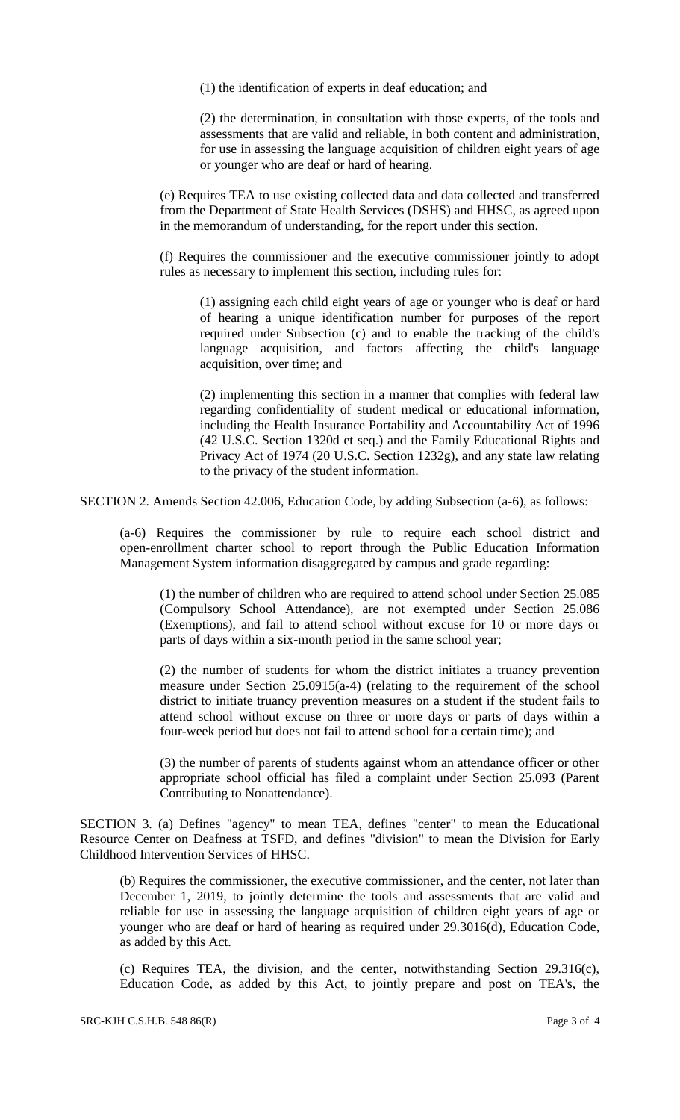(1) the identification of experts in deaf education; and

(2) the determination, in consultation with those experts, of the tools and assessments that are valid and reliable, in both content and administration, for use in assessing the language acquisition of children eight years of age or younger who are deaf or hard of hearing.

(e) Requires TEA to use existing collected data and data collected and transferred from the Department of State Health Services (DSHS) and HHSC, as agreed upon in the memorandum of understanding, for the report under this section.

(f) Requires the commissioner and the executive commissioner jointly to adopt rules as necessary to implement this section, including rules for:

(1) assigning each child eight years of age or younger who is deaf or hard of hearing a unique identification number for purposes of the report required under Subsection (c) and to enable the tracking of the child's language acquisition, and factors affecting the child's language acquisition, over time; and

(2) implementing this section in a manner that complies with federal law regarding confidentiality of student medical or educational information, including the Health Insurance Portability and Accountability Act of 1996 (42 U.S.C. Section 1320d et seq.) and the Family Educational Rights and Privacy Act of 1974 (20 U.S.C. Section 1232g), and any state law relating to the privacy of the student information.

SECTION 2. Amends Section 42.006, Education Code, by adding Subsection (a-6), as follows:

(a-6) Requires the commissioner by rule to require each school district and open-enrollment charter school to report through the Public Education Information Management System information disaggregated by campus and grade regarding:

(1) the number of children who are required to attend school under Section 25.085 (Compulsory School Attendance), are not exempted under Section 25.086 (Exemptions), and fail to attend school without excuse for 10 or more days or parts of days within a six-month period in the same school year;

(2) the number of students for whom the district initiates a truancy prevention measure under Section 25.0915(a-4) (relating to the requirement of the school district to initiate truancy prevention measures on a student if the student fails to attend school without excuse on three or more days or parts of days within a four-week period but does not fail to attend school for a certain time); and

(3) the number of parents of students against whom an attendance officer or other appropriate school official has filed a complaint under Section 25.093 (Parent Contributing to Nonattendance).

SECTION 3. (a) Defines "agency" to mean TEA, defines "center" to mean the Educational Resource Center on Deafness at TSFD, and defines "division" to mean the Division for Early Childhood Intervention Services of HHSC.

(b) Requires the commissioner, the executive commissioner, and the center, not later than December 1, 2019, to jointly determine the tools and assessments that are valid and reliable for use in assessing the language acquisition of children eight years of age or younger who are deaf or hard of hearing as required under 29.3016(d), Education Code, as added by this Act.

(c) Requires TEA, the division, and the center, notwithstanding Section 29.316(c), Education Code, as added by this Act, to jointly prepare and post on TEA's, the